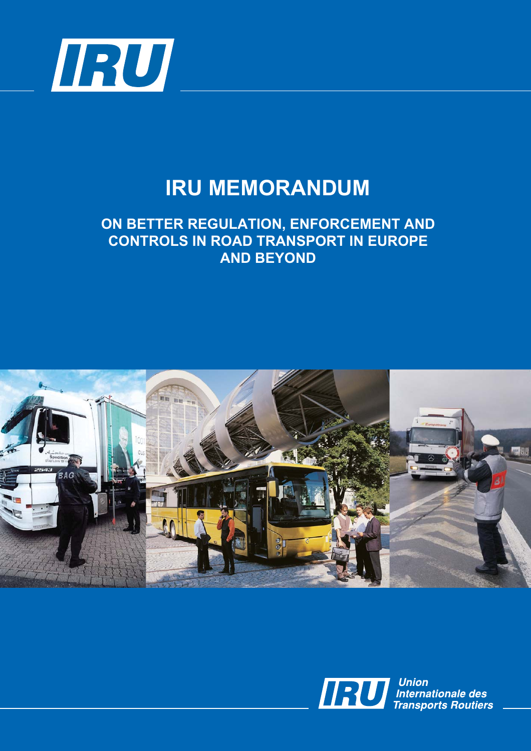

# **IRU MEMORANDUM**

# **ON BETTER REGULATION, ENFORCEMENT AND CONTROLS IN ROAD TRANSPORT IN EUROPE AND BEYOND**





**Union Union**<br>Internationale des<br>Transports Routiers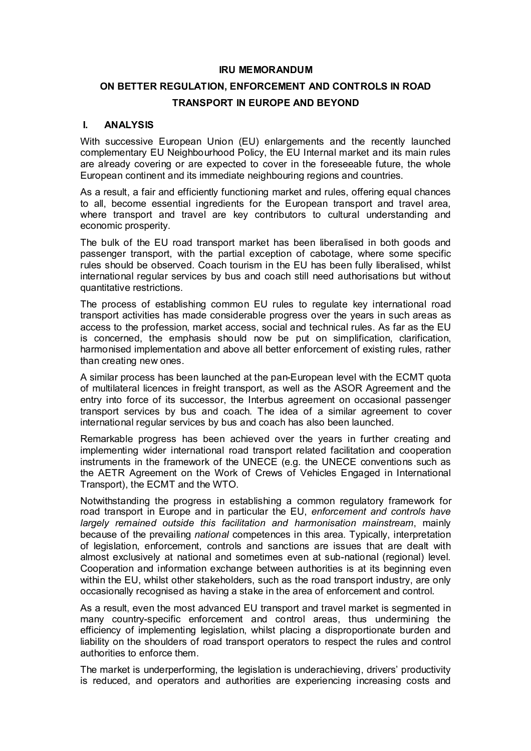# **IRU MEMORANDUM**

# **ON BETTER REGULATION, ENFORCEMENT AND CONTROLS IN ROAD TRANSPORT IN EUROPE AND BEYOND**

# **I. ANALYSIS**

With successive European Union (EU) enlargements and the recently launched complementary EU Neighbourhood Policy, the EU Internal market and its main rules are already covering or are expected to cover in the foreseeable future, the whole European continent and its immediate neighbouring regions and countries.

As a result, a fair and efficiently functioning market and rules, offering equal chances to all, become essential ingredients for the European transport and travel area, where transport and travel are key contributors to cultural understanding and economic prosperity.

The bulk of the EU road transport market has been liberalised in both goods and passenger transport, with the partial exception of cabotage, where some specific rules should be observed. Coach tourism in the EU has been fully liberalised, whilst international regular services by bus and coach still need authorisations but without quantitative restrictions.

The process of establishing common EU rules to regulate key international road transport activities has made considerable progress over the years in such areas as access to the profession, market access, social and technical rules. As far as the EU is concerned, the emphasis should now be put on simplification, clarification, harmonised implementation and above all better enforcement of existing rules, rather than creating new ones.

A similar process has been launched at the pan-European level with the ECMT quota of multilateral licences in freight transport, as well as the ASOR Agreement and the entry into force of its successor, the Interbus agreement on occasional passenger transport services by bus and coach. The idea of a similar agreement to cover international regular services by bus and coach has also been launched.

Remarkable progress has been achieved over the years in further creating and implementing wider international road transport related facilitation and cooperation instruments in the framework of the UNECE (e.g. the UNECE conventions such as the AETR Agreement on the Work of Crews of Vehicles Engaged in International Transport), the ECMT and the WTO.

Notwithstanding the progress in establishing a common regulatory framework for road transport in Europe and in particular the EU, *enforcement and controls have largely remained outside this facilitation and harmonisation mainstream*, mainly because of the prevailing *national* competences in this area. Typically, interpretation of legislation, enforcement, controls and sanctions are issues that are dealt with almost exclusively at national and sometimes even at sub-national (regional) level. Cooperation and information exchange between authorities is at its beginning even within the EU, whilst other stakeholders, such as the road transport industry, are only occasionally recognised as having a stake in the area of enforcement and control.

As a result, even the most advanced EU transport and travel market is segmented in many country-specific enforcement and control areas, thus undermining the efficiency of implementing legislation, whilst placing a disproportionate burden and liability on the shoulders of road transport operators to respect the rules and control authorities to enforce them.

The market is underperforming, the legislation is underachieving, drivers' productivity is reduced, and operators and authorities are experiencing increasing costs and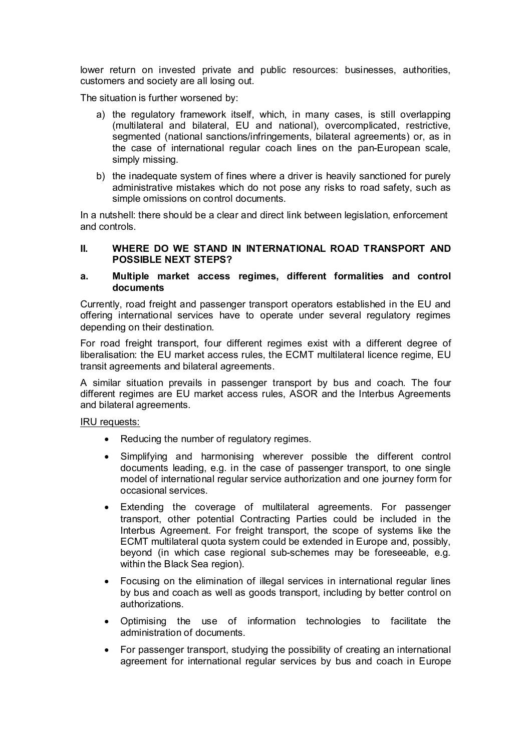lower return on invested private and public resources: businesses, authorities, customers and society are all losing out.

The situation is further worsened by:

- a) the regulatory framework itself, which, in many cases, is still overlapping (multilateral and bilateral, EU and national), overcomplicated, restrictive, segmented (national sanctions/infringements, bilateral agreements) or, as in the case of international regular coach lines on the pan-European scale, simply missing.
- b) the inadequate system of fines where a driver is heavily sanctioned for purely administrative mistakes which do not pose any risks to road safety, such as simple omissions on control documents.

In a nutshell: there should be a clear and direct link between legislation, enforcement and controls.

# **II. WHERE DO WE STAND IN INTERNATIONAL ROAD TRANSPORT AND POSSIBLE NEXT STEPS?**

# **a. Multiple market access regimes, different formalities and control documents**

Currently, road freight and passenger transport operators established in the EU and offering international services have to operate under several regulatory regimes depending on their destination.

For road freight transport, four different regimes exist with a different degree of liberalisation: the EU market access rules, the ECMT multilateral licence regime, EU transit agreements and bilateral agreements.

A similar situation prevails in passenger transport by bus and coach. The four different regimes are EU market access rules, ASOR and the Interbus Agreements and bilateral agreements.

- Reducing the number of regulatory regimes.
- Simplifying and harmonising wherever possible the different control documents leading, e.g. in the case of passenger transport, to one single model of international regular service authorization and one journey form for occasional services.
- Extending the coverage of multilateral agreements. For passenger transport, other potential Contracting Parties could be included in the Interbus Agreement. For freight transport, the scope of systems like the ECMT multilateral quota system could be extended in Europe and, possibly, beyond (in which case regional sub-schemes may be foreseeable, e.g. within the Black Sea region).
- Focusing on the elimination of illegal services in international regular lines by bus and coach as well as goods transport, including by better control on authorizations.
- Optimising the use of information technologies to facilitate the administration of documents.
- For passenger transport, studying the possibility of creating an international agreement for international regular services by bus and coach in Europe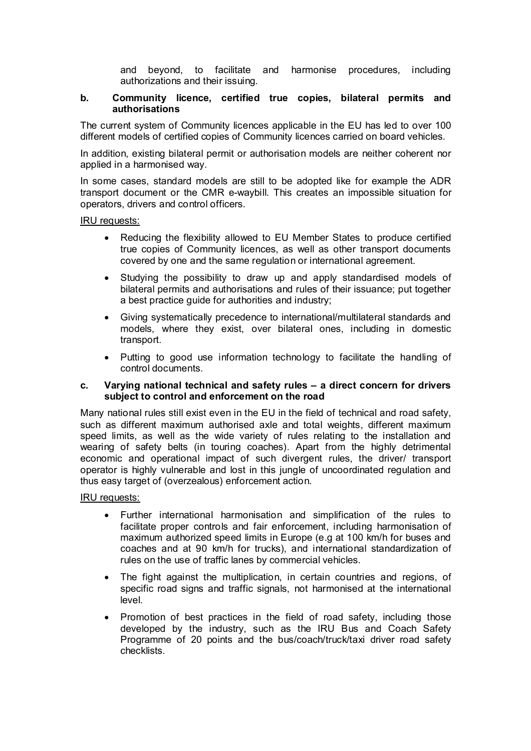and beyond, to facilitate and harmonise procedures, including authorizations and their issuing.

# **b. Community licence, certified true copies, bilateral permits and authorisations**

The current system of Community licences applicable in the EU has led to over 100 different models of certified copies of Community licences carried on board vehicles.

In addition, existing bilateral permit or authorisation models are neither coherent nor applied in a harmonised way.

In some cases, standard models are still to be adopted like for example the ADR transport document or the CMR e-waybill. This creates an impossible situation for operators, drivers and control officers.

#### IRU requests:

- Reducing the flexibility allowed to EU Member States to produce certified true copies of Community licences, as well as other transport documents covered by one and the same regulation or international agreement.
- Studying the possibility to draw up and apply standardised models of bilateral permits and authorisations and rules of their issuance; put together a best practice guide for authorities and industry;
- Giving systematically precedence to international/multilateral standards and models, where they exist, over bilateral ones, including in domestic transport.
- Putting to good use information technology to facilitate the handling of control documents.

# **c. Varying national technical and safety rules – a direct concern for drivers subject to control and enforcement on the road**

Many national rules still exist even in the EU in the field of technical and road safety, such as different maximum authorised axle and total weights, different maximum speed limits, as well as the wide variety of rules relating to the installation and wearing of safety belts (in touring coaches). Apart from the highly detrimental economic and operational impact of such divergent rules, the driver/ transport operator is highly vulnerable and lost in this jungle of uncoordinated regulation and thus easy target of (overzealous) enforcement action.

- Further international harmonisation and simplification of the rules to facilitate proper controls and fair enforcement, including harmonisation of maximum authorized speed limits in Europe (e.g at 100 km/h for buses and coaches and at 90 km/h for trucks), and international standardization of rules on the use of traffic lanes by commercial vehicles.
- The fight against the multiplication, in certain countries and regions, of specific road signs and traffic signals, not harmonised at the international level.
- Promotion of best practices in the field of road safety, including those developed by the industry, such as the IRU Bus and Coach Safety Programme of 20 points and the bus/coach/truck/taxi driver road safety checklists.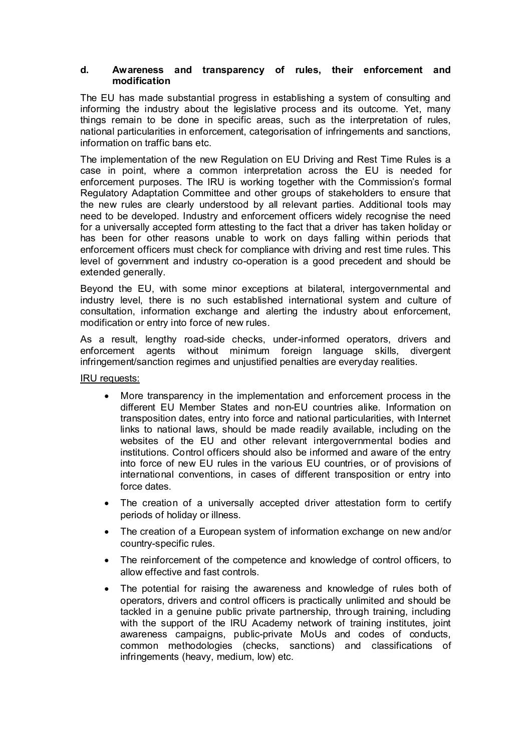# **d. Awareness and transparency of rules, their enforcement and modification**

The EU has made substantial progress in establishing a system of consulting and informing the industry about the legislative process and its outcome. Yet, many things remain to be done in specific areas, such as the interpretation of rules, national particularities in enforcement, categorisation of infringements and sanctions, information on traffic bans etc.

The implementation of the new Regulation on EU Driving and Rest Time Rules is a case in point, where a common interpretation across the EU is needed for enforcement purposes. The IRU is working together with the Commission's formal Regulatory Adaptation Committee and other groups of stakeholders to ensure that the new rules are clearly understood by all relevant parties. Additional tools may need to be developed. Industry and enforcement officers widely recognise the need for a universally accepted form attesting to the fact that a driver has taken holiday or has been for other reasons unable to work on days falling within periods that enforcement officers must check for compliance with driving and rest time rules. This level of government and industry co-operation is a good precedent and should be extended generally.

Beyond the EU, with some minor exceptions at bilateral, intergovernmental and industry level, there is no such established international system and culture of consultation, information exchange and alerting the industry about enforcement, modification or entry into force of new rules.

As a result, lengthy road-side checks, under-informed operators, drivers and enforcement agents without minimum foreign language skills, divergent infringement/sanction regimes and unjustified penalties are everyday realities.

- More transparency in the implementation and enforcement process in the different EU Member States and non-EU countries alike. Information on transposition dates, entry into force and national particularities, with Internet links to national laws, should be made readily available, including on the websites of the EU and other relevant intergovernmental bodies and institutions. Control officers should also be informed and aware of the entry into force of new EU rules in the various EU countries, or of provisions of international conventions, in cases of different transposition or entry into force dates.
- The creation of a universally accepted driver attestation form to certify periods of holiday or illness.
- The creation of a European system of information exchange on new and/or country-specific rules.
- The reinforcement of the competence and knowledge of control officers, to allow effective and fast controls.
- The potential for raising the awareness and knowledge of rules both of operators, drivers and control officers is practically unlimited and should be tackled in a genuine public private partnership, through training, including with the support of the IRU Academy network of training institutes, joint awareness campaigns, public-private MoUs and codes of conducts, common methodologies (checks, sanctions) and classifications of infringements (heavy, medium, low) etc.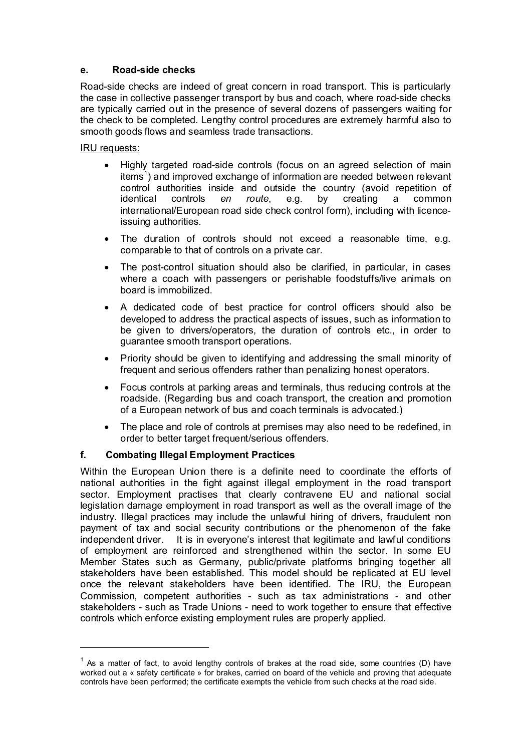# **e. Road-side checks**

Road-side checks are indeed of great concern in road transport. This is particularly the case in collective passenger transport by bus and coach, where road-side checks are typically carried out in the presence of several dozens of passengers waiting for the check to be completed. Lengthy control procedures are extremely harmful also to smooth goods flows and seamless trade transactions.

IRU requests:

 $\overline{a}$ 

- Highly targeted road-side controls (focus on an agreed selection of main items<sup>1</sup>) and improved exchange of information are needed between relevant control authorities inside and outside the country (avoid repetition of identical controls *en route*, e.g. by creating a common international/European road side check control form), including with licenceissuing authorities.
- The duration of controls should not exceed a reasonable time, e.g. comparable to that of controls on a private car.
- The post-control situation should also be clarified, in particular, in cases where a coach with passengers or perishable foodstuffs/live animals on board is immobilized.
- A dedicated code of best practice for control officers should also be developed to address the practical aspects of issues, such as information to be given to drivers/operators, the duration of controls etc., in order to guarantee smooth transport operations.
- Priority should be given to identifying and addressing the small minority of frequent and serious offenders rather than penalizing honest operators.
- Focus controls at parking areas and terminals, thus reducing controls at the roadside. (Regarding bus and coach transport, the creation and promotion of a European network of bus and coach terminals is advocated.)
- The place and role of controls at premises may also need to be redefined, in order to better target frequent/serious offenders.

# **f. Combating Illegal Employment Practices**

Within the European Union there is a definite need to coordinate the efforts of national authorities in the fight against illegal employment in the road transport sector. Employment practises that clearly contravene EU and national social legislation damage employment in road transport as well as the overall image of the industry. Illegal practices may include the unlawful hiring of drivers, fraudulent non payment of tax and social security contributions or the phenomenon of the fake independent driver. It is in everyone's interest that legitimate and lawful conditions of employment are reinforced and strengthened within the sector. In some EU Member States such as Germany, public/private platforms bringing together all stakeholders have been established. This model should be replicated at EU level once the relevant stakeholders have been identified. The IRU, the European Commission, competent authorities - such as tax administrations - and other stakeholders - such as Trade Unions - need to work together to ensure that effective controls which enforce existing employment rules are properly applied.

 $1$  As a matter of fact, to avoid lengthy controls of brakes at the road side, some countries (D) have worked out a « safety certificate » for brakes, carried on board of the vehicle and proving that adequate controls have been performed; the certificate exempts the vehicle from such checks at the road side.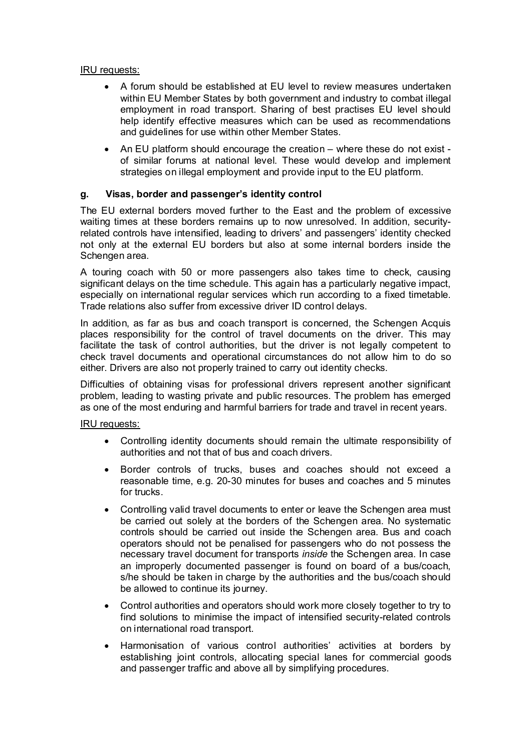# IRU requests:

- A forum should be established at EU level to review measures undertaken within EU Member States by both government and industry to combat illegal employment in road transport. Sharing of best practises EU level should help identify effective measures which can be used as recommendations and guidelines for use within other Member States.
- An EU platform should encourage the creation where these do not exist of similar forums at national level. These would develop and implement strategies on illegal employment and provide input to the EU platform.

# **g. Visas, border and passenger's identity control**

The EU external borders moved further to the East and the problem of excessive waiting times at these borders remains up to now unresolved. In addition, securityrelated controls have intensified, leading to drivers' and passengers' identity checked not only at the external EU borders but also at some internal borders inside the Schengen area.

A touring coach with 50 or more passengers also takes time to check, causing significant delays on the time schedule. This again has a particularly negative impact, especially on international regular services which run according to a fixed timetable. Trade relations also suffer from excessive driver ID control delays.

In addition, as far as bus and coach transport is concerned, the Schengen Acquis places responsibility for the control of travel documents on the driver. This may facilitate the task of control authorities, but the driver is not legally competent to check travel documents and operational circumstances do not allow him to do so either. Drivers are also not properly trained to carry out identity checks.

Difficulties of obtaining visas for professional drivers represent another significant problem, leading to wasting private and public resources. The problem has emerged as one of the most enduring and harmful barriers for trade and travel in recent years.

- Controlling identity documents should remain the ultimate responsibility of authorities and not that of bus and coach drivers.
- Border controls of trucks, buses and coaches should not exceed a reasonable time, e.g. 20-30 minutes for buses and coaches and 5 minutes for trucks.
- Controlling valid travel documents to enter or leave the Schengen area must be carried out solely at the borders of the Schengen area. No systematic controls should be carried out inside the Schengen area. Bus and coach operators should not be penalised for passengers who do not possess the necessary travel document for transports *inside* the Schengen area. In case an improperly documented passenger is found on board of a bus/coach, s/he should be taken in charge by the authorities and the bus/coach should be allowed to continue its journey.
- Control authorities and operators should work more closely together to try to find solutions to minimise the impact of intensified security-related controls on international road transport.
- Harmonisation of various control authorities' activities at borders by establishing joint controls, allocating special lanes for commercial goods and passenger traffic and above all by simplifying procedures.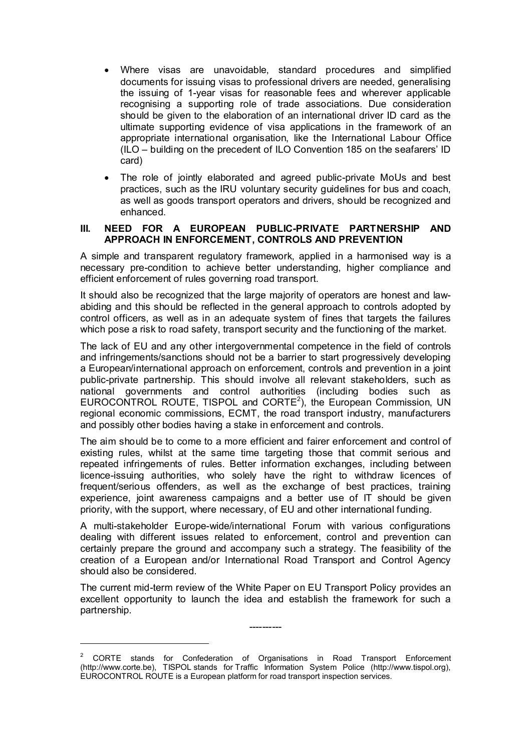- Where visas are unavoidable, standard procedures and simplified documents for issuing visas to professional drivers are needed, generalising the issuing of 1-year visas for reasonable fees and wherever applicable recognising a supporting role of trade associations. Due consideration should be given to the elaboration of an international driver ID card as the ultimate supporting evidence of visa applications in the framework of an appropriate international organisation, like the International Labour Office (ILO – building on the precedent of ILO Convention 185 on the seafarers' ID card)
- The role of jointly elaborated and agreed public-private MoUs and best practices, such as the IRU voluntary security guidelines for bus and coach, as well as goods transport operators and drivers, should be recognized and enhanced.

#### **III. NEED FOR A EUROPEAN PUBLIC-PRIVATE PARTNERSHIP AND APPROACH IN ENFORCEMENT, CONTROLS AND PREVENTION**

A simple and transparent regulatory framework, applied in a harmonised way is a necessary pre-condition to achieve better understanding, higher compliance and efficient enforcement of rules governing road transport.

It should also be recognized that the large majority of operators are honest and lawabiding and this should be reflected in the general approach to controls adopted by control officers, as well as in an adequate system of fines that targets the failures which pose a risk to road safety, transport security and the functioning of the market.

The lack of EU and any other intergovernmental competence in the field of controls and infringements/sanctions should not be a barrier to start progressively developing a European/international approach on enforcement, controls and prevention in a joint public-private partnership. This should involve all relevant stakeholders, such as national governments and control authorities (including bodies such as EUROCONTROL ROUTE, TISPOL and CORTE<sup>2</sup>), the European Commission, UN regional economic commissions, ECMT, the road transport industry, manufacturers and possibly other bodies having a stake in enforcement and controls.

The aim should be to come to a more efficient and fairer enforcement and control of existing rules, whilst at the same time targeting those that commit serious and repeated infringements of rules. Better information exchanges, including between licence-issuing authorities, who solely have the right to withdraw licences of frequent/serious offenders, as well as the exchange of best practices, training experience, joint awareness campaigns and a better use of IT should be given priority, with the support, where necessary, of EU and other international funding.

A multi-stakeholder Europe-wide/international Forum with various configurations dealing with different issues related to enforcement, control and prevention can certainly prepare the ground and accompany such a strategy. The feasibility of the creation of a European and/or International Road Transport and Control Agency should also be considered.

The current mid-term review of the White Paper on EU Transport Policy provides an excellent opportunity to launch the idea and establish the framework for such a partnership.

----------

 $\overline{a}$ 

<sup>&</sup>lt;sup>2</sup> CORTE stands for Confederation of Organisations in Road Transport Enforcement (http://www.corte.be), TISPOL stands for Traffic Information System Police (http://www.tispol.org), EUROCONTROL ROUTE is a European platform for road transport inspection services.